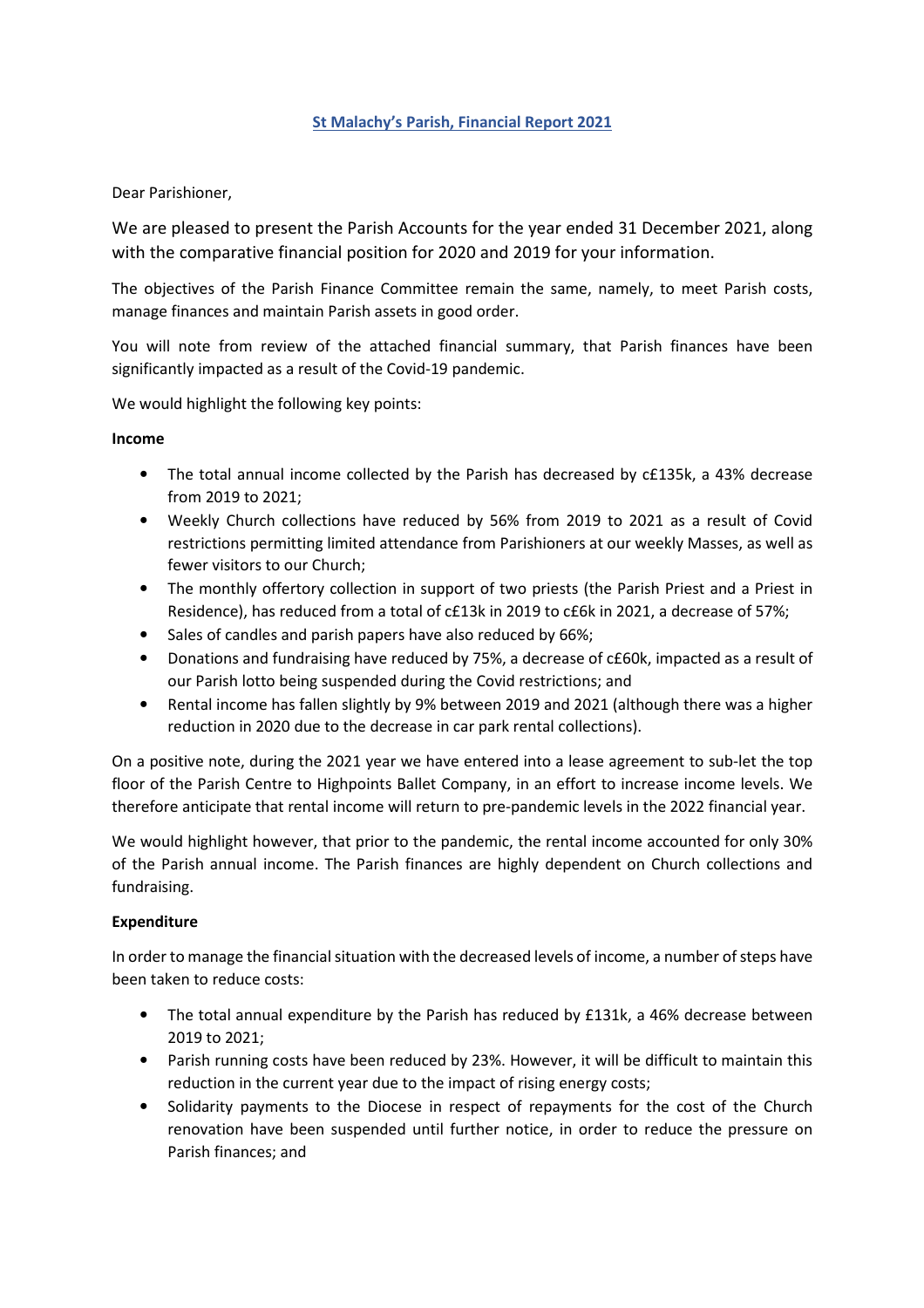### St Malachy's Parish, Financial Report 2021

Dear Parishioner,

We are pleased to present the Parish Accounts for the year ended 31 December 2021, along with the comparative financial position for 2020 and 2019 for your information.

The objectives of the Parish Finance Committee remain the same, namely, to meet Parish costs, manage finances and maintain Parish assets in good order.

You will note from review of the attached financial summary, that Parish finances have been significantly impacted as a result of the Covid-19 pandemic.

We would highlight the following key points:

#### Income

- The total annual income collected by the Parish has decreased by c£135k, a 43% decrease from 2019 to 2021;
- Weekly Church collections have reduced by 56% from 2019 to 2021 as a result of Covid restrictions permitting limited attendance from Parishioners at our weekly Masses, as well as fewer visitors to our Church;
- The monthly offertory collection in support of two priests (the Parish Priest and a Priest in Residence), has reduced from a total of c£13k in 2019 to c£6k in 2021, a decrease of 57%;
- Sales of candles and parish papers have also reduced by 66%;
- Donations and fundraising have reduced by 75%, a decrease of c£60k, impacted as a result of our Parish lotto being suspended during the Covid restrictions; and
- Rental income has fallen slightly by 9% between 2019 and 2021 (although there was a higher reduction in 2020 due to the decrease in car park rental collections).

On a positive note, during the 2021 year we have entered into a lease agreement to sub-let the top floor of the Parish Centre to Highpoints Ballet Company, in an effort to increase income levels. We therefore anticipate that rental income will return to pre-pandemic levels in the 2022 financial year.

We would highlight however, that prior to the pandemic, the rental income accounted for only 30% of the Parish annual income. The Parish finances are highly dependent on Church collections and fundraising.

## Expenditure

In order to manage the financial situation with the decreased levels of income, a number of steps have been taken to reduce costs:

- The total annual expenditure by the Parish has reduced by £131k, a 46% decrease between 2019 to 2021;
- Parish running costs have been reduced by 23%. However, it will be difficult to maintain this reduction in the current year due to the impact of rising energy costs;
- Solidarity payments to the Diocese in respect of repayments for the cost of the Church renovation have been suspended until further notice, in order to reduce the pressure on Parish finances; and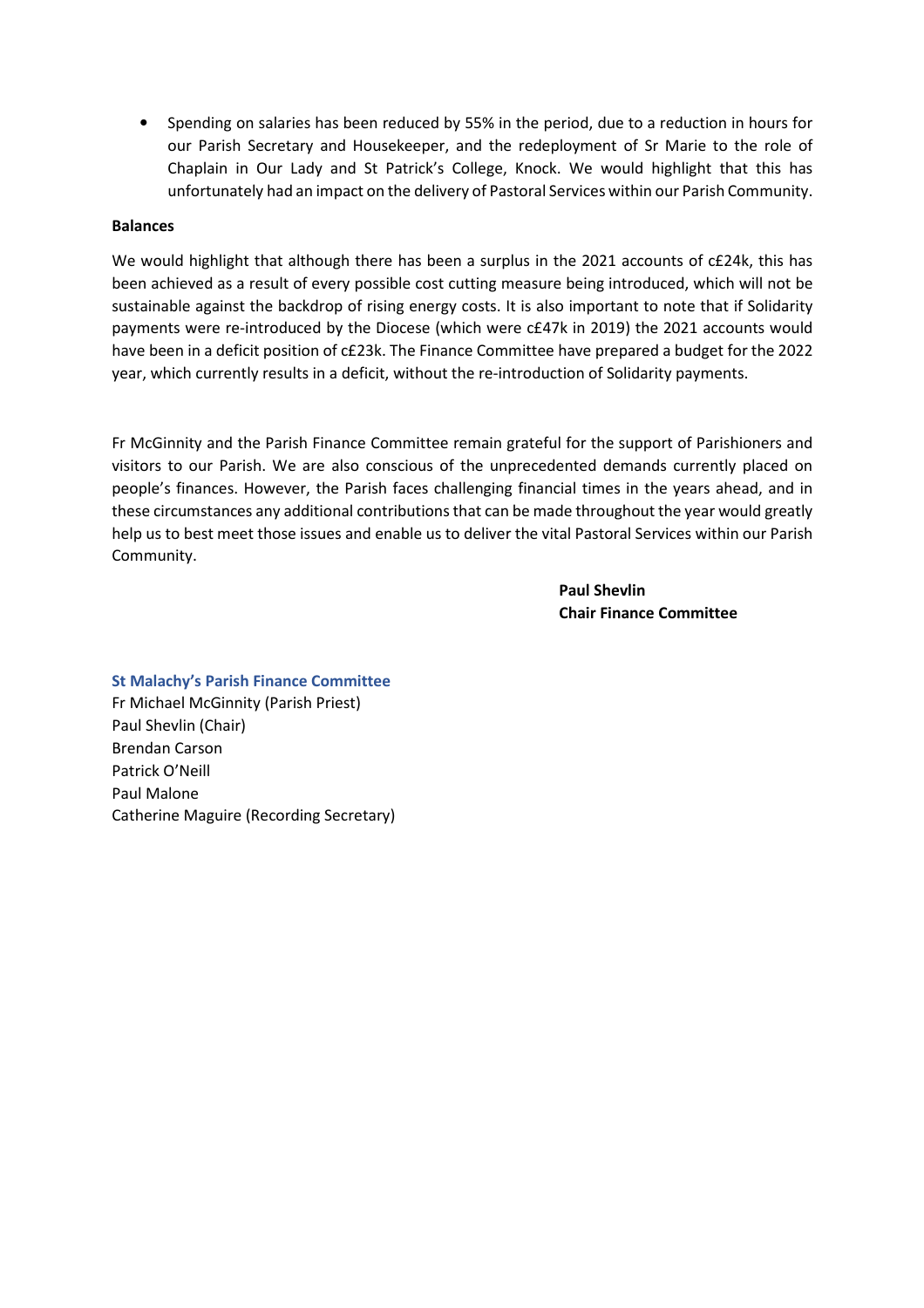• Spending on salaries has been reduced by 55% in the period, due to a reduction in hours for our Parish Secretary and Housekeeper, and the redeployment of Sr Marie to the role of Chaplain in Our Lady and St Patrick's College, Knock. We would highlight that this has unfortunately had an impact on the delivery of Pastoral Services within our Parish Community.

#### Balances

We would highlight that although there has been a surplus in the 2021 accounts of c£24k, this has been achieved as a result of every possible cost cutting measure being introduced, which will not be sustainable against the backdrop of rising energy costs. It is also important to note that if Solidarity payments were re-introduced by the Diocese (which were c£47k in 2019) the 2021 accounts would have been in a deficit position of c£23k. The Finance Committee have prepared a budget for the 2022 year, which currently results in a deficit, without the re-introduction of Solidarity payments.

Fr McGinnity and the Parish Finance Committee remain grateful for the support of Parishioners and visitors to our Parish. We are also conscious of the unprecedented demands currently placed on people's finances. However, the Parish faces challenging financial times in the years ahead, and in these circumstances any additional contributions that can be made throughout the year would greatly help us to best meet those issues and enable us to deliver the vital Pastoral Services within our Parish Community.

> Paul Shevlin Chair Finance Committee

#### St Malachy's Parish Finance Committee

Fr Michael McGinnity (Parish Priest) Paul Shevlin (Chair) Brendan Carson Patrick O'Neill Paul Malone Catherine Maguire (Recording Secretary)